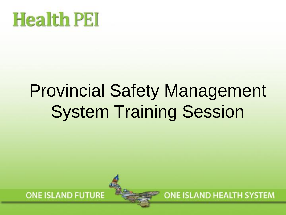# **Health PEI**

### Provincial Safety Management System Training Session



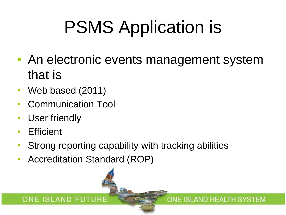## PSMS Application is

• An electronic events management system that is

ONE ISLAND HEALTH SYSTEM

- Web based (2011)
- Communication Tool
- User friendly
- Efficient
- Strong reporting capability with tracking abilities
- Accreditation Standard (ROP)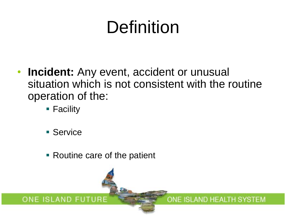### Definition

• **Incident:** Any event, accident or unusual situation which is not consistent with the routine operation of the:

ONE ISLAND HEALTH SYSTEM

- Facility
- Service

ONE ISLAND FUTURE

■ Routine care of the patient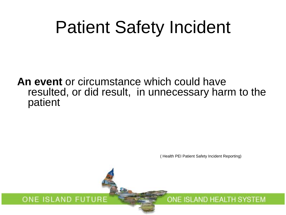### Patient Safety Incident

**An event** or circumstance which could have resulted, or did result, in unnecessary harm to the patient

( Health PEI Patient Safety Incident Reporting)

ONE ISLAND HEALTH SYSTEM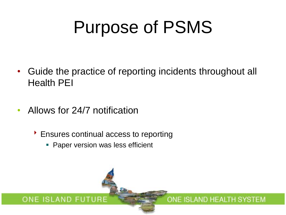### Purpose of PSMS

- Guide the practice of reporting incidents throughout all Health PEI
- Allows for 24/7 notification
	- ▶ Ensures continual access to reporting
		- **Paper version was less efficient**

#### ONE ISLAND FUTURE ONE ISLAND HEALTH SYSTEM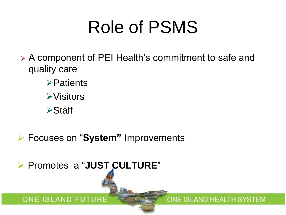### Role of PSMS

- A component of PEI Health's commitment to safe and quality care
	- **>Patients**
	- **≻Visitors**
	- **≻Staff**
- Focuses on "**System"** Improvements

Promotes a "**JUST CULTURE**"

ONE ISLAND FUTURE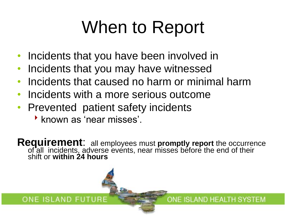## When to Report

- Incidents that you have been involved in
- Incidents that you may have witnessed
- Incidents that caused no harm or minimal harm
- Incidents with a more serious outcome
- Prevented patient safety incidents
	- **known as 'near misses'.**

ONE ISLAND FUTURE

**Requirement**: all employees must **promptly report** the occurrence of all incidents, adverse events, near misses before the end of their shift or **within 24 hours**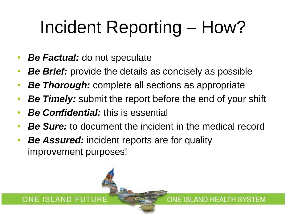## Incident Reporting – How?

- *Be Factual:* do not speculate
- *Be Brief:* provide the details as concisely as possible
- *Be Thorough:* complete all sections as appropriate
- **Be Timely:** submit the report before the end of your shift
- *Be Confidential:* this is essential

ONE ISLAND FUTURE

• *Be Sure:* to document the incident in the medical record

ONE ISLAND HEALTH SYSTEM

**Be Assured:** incident reports are for quality improvement purposes!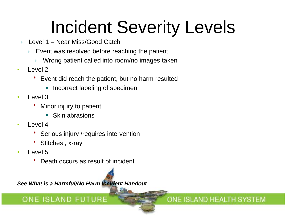### Incident Severity Levels

ONE ISLAND HEALTH SYSTEM

- Level 1 Near Miss/Good Catch
	- Event was resolved before reaching the patient
		- Wrong patient called into room/no images taken
- $\cdot$  Level 2
	- Event did reach the patient, but no harm resulted
		- Incorrect labeling of specimen
- Level 3
	- Minor injury to patient
		- Skin abrasions
- Level 4
	- Serious injury /requires intervention
	- Stitches , x-ray
- Level 5
	- Death occurs as result of incident

*See What is a Harmful/No Harm Incident Handout*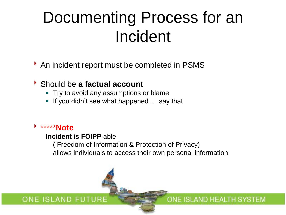### Documenting Process for an Incident

An incident report must be completed in PSMS

#### Should be **a factual account**

- **Try to avoid any assumptions or blame**
- If you didn't see what happened.... say that

#### \*\*\*\*\***Note**

#### **Incident is FOIPP** able

( Freedom of Information & Protection of Privacy) allows individuals to access their own personal information

ONE ISLAND HEALTH SYSTEM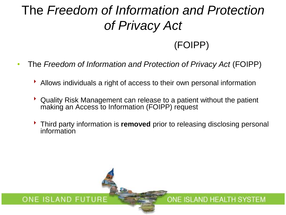### The *Freedom of Information and Protection of Privacy Act*

### (FOIPP)

ONE ISLAND HEALTH SYSTEM

- The *Freedom of Information and Protection of Privacy Act* (FOIPP)
	- Allows individuals a right of access to their own personal information
	- Quality Risk Management can release to a patient without the patient making an Access to Information (FOIPP) request
	- Third party information is **removed** prior to releasing disclosing personal information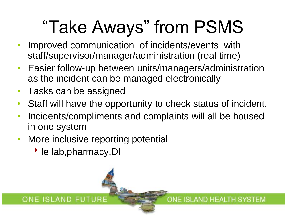## "Take Aways" from PSMS

- Improved communication of incidents/events with staff/supervisor/manager/administration (real time)
- Easier follow-up between units/managers/administration as the incident can be managed electronically
- Tasks can be assigned
- Staff will have the opportunity to check status of incident.
- Incidents/compliments and complaints will all be housed in one system

ONE ISLAND HEALTH SYSTEM

- More inclusive reporting potential
	- ▶ le lab, pharmacy, DI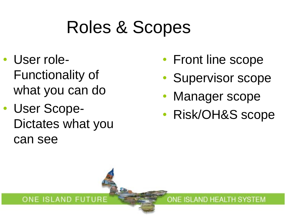### Roles & Scopes

- User role-Functionality of what you can do
- User Scope-Dictates what you can see

ONE ISLAND FUTURE

- Front line scope
- Supervisor scope
- Manager scope
- Risk/OH&S scope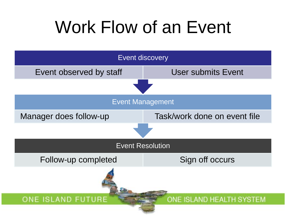### Work Flow of an Event

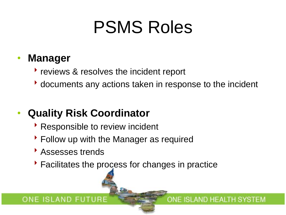### PSMS Roles

### • **Manager**

- **The reviews & resolves the incident report**
- documents any actions taken in response to the incident

ONE ISLAND HEALTH SYSTEM

### • **Quality Risk Coordinator**

- Responsible to review incident
- Follow up with the Manager as required
- Assesses trends
- Facilitates the process for changes in practice